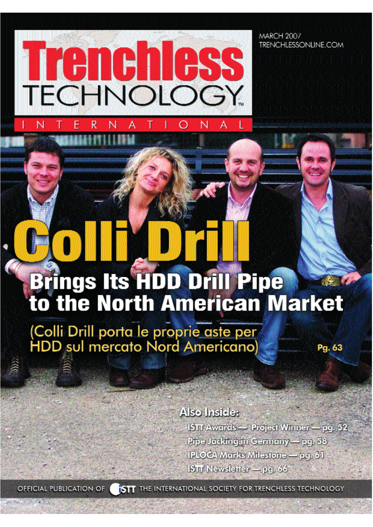Trench **TECHNOLOGY** 

N

**MARCH 2007** TRENCHLESSONLINE.COM

## **Brings Its HDD Drill Pipe<br>to the North American Market**

(Colli Drill porta le proprie aste per<br>HDD sul mercato Nord Americano)

Also Inside:

ISTT Awards - Project Winner - pg. 52 Pipe Jacking in Germany - pg. 58 IPLOCA Marks Milestone - pg. 61 ISTT Newsletter - pg. 66

Pg. 63

OFFICIAL PUBLICATION OF

**ISTT** THE INTERNATIONAL SOCIETY FOR TRENCHLESS TECHNOLOGY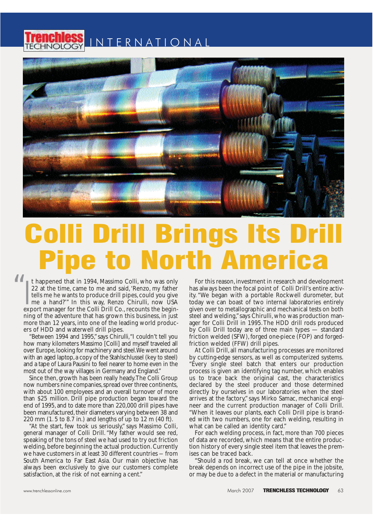



## **Pipe to North America**

It happened that in 1994, Massimo Colli, who was only<br>22 at the time, came to me and said, 'Renzo, my father<br>tells me he wants to produce drill pipes, could you give<br>me a hand?'" In this way, Renzo Chirulli, now USA<br>export t happened that in 1994, Massimo Colli, who was only 22 at the time, came to me and said,'Renzo, my father tells me he wants to produce drill pipes, could you give me a hand?'" In this way, Renzo Chirulli, now USA ning of the adventure that has grown this business, in just more than 12 years, into one of the leading world producers of HDD and waterwell drill pipes. rappened that in 1994, Massimo Colli, who was only<br>at the time, came to me and said, 'Renzo, my father has always been the focal point of Colli Drill's entire<br>is me he wants to produce drill pipes, could you give ity. "We "

"Between 1994 and 1995," says Chirulli,"I couldn't tell you how many kilometers Massimo [Colli] and myself traveled all over Europe,looking for machinery and steel.We went around with an aged laptop,a copy of the Stahlschlussel (key to steel) and a tape of Laura Pausini to feel nearer to home even in the most out of the way villages in Germany and England."

Since then, growth has been really heady.The Colli Group now numbers nine companies, spread over three continents, with about 100 employees and an overall turnover of more than \$25 million. Drill pipe production began toward the end of 1995, and to date more than 220,000 drill pipes have been manufactured, their diameters varying between 38 and 220 mm (1. 5 to 8.7 in.) and lengths of up to 12 m (40 ft).

"At the start, few took us seriously," says Massimo Colli, general manager of Colli Drill."My father would see red, speaking of the tons of steel we had used to try out friction welding, before beginning the actual production. Currently we have customers in at least 30 different countries — from South America to Far East Asia. Our main objective has always been exclusively to give our customers complete satisfaction, at the risk of not earning a cent."

For this reason,investment in research and development has always been the focal point of Colli Drill's entire activity. "We began with a portable Rockwell durometer, but today we can boast of two internal laboratories entirely given over to metallographic and mechanical tests on both steel and welding,"says Chirulli,who was production manager for Colli Drill in 1995.The HDD drill rods produced by Colli Drill today are of three main types — standard friction welded (SFW), forged one-piece (FOP) and forgedfriction welded (FFW) drill pipes.

At Colli Drill, all manufacturing processes are monitored by cutting-edge sensors, as well as computerized systems. "Every single steel batch that enters our production process is given an identifying tag number, which enables us to trace back the original cast, the characteristics declared by the steel producer and those determined directly by ourselves in our laboratories when the steel arrives at the factory," says Mirko Samac, mechanical engineer and the current production manager of Colli Drill. "When it leaves our plants, each Colli Drill pipe is branded with two numbers, one for each welding, resulting in what can be called an identity card."

For each welding process, in fact, more than 700 pieces of data are recorded, which means that the entire production history of every single steel item that leaves the premises can be traced back.

"Should a rod break, we can tell at once whether the break depends on incorrect use of the pipe in the jobsite, or may be due to a defect in the material or manufacturing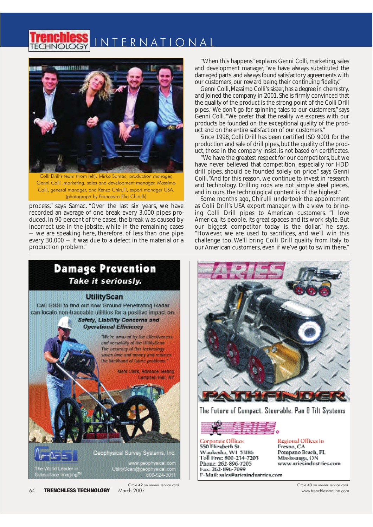



Colli Drill's team (from left): Mirko Samac, production manager, Genni Colli ,marketing, sales and development manager, Massimo Colli, general manager, and Renzo Chirulli, export manager USA. (photograph by Francesco Elio Chirulli)

process," says Samac. "Over the last six years, we have recorded an average of one break every 3,000 pipes produced. In 90 percent of the cases, the break was caused by incorrect use in the jobsite, while in the remaining cases — we are speaking here, therefore, of less than one pipe every 30,000 — it was due to a defect in the material or a production problem."

"When this happens"explains Genni Colli, marketing, sales and development manager,"we have always substituted the damaged parts,and always found satisfactory agreements with our customers,our reward being their continuing fidelity."

Genni Colli,Massimo Colli's sister,has a degree in chemistry, and joined the company in 2001.She is firmly convinced that the quality of the product is the strong point of the Colli Drill pipes."We don't go for spinning tales to our customers," says Genni Colli."We prefer that the reality we express with our products be founded on the exceptional quality of the product and on the entire satisfaction of our customers."

Since 1998, Colli Drill has been certified ISO 9001 for the production and sale of drill pipes, but the quality of the product, those in the company insist, is not based on certificates.

"We have the greatest respect for our competitors,but we have never believed that competition, especially for HDD drill pipes, should be founded solely on price," says Genni Colli."And for this reason, we continue to invest in research and technology. Drilling rods are not simple steel pieces, and in ours, the technological content is of the highest."

Some months ago, Chirulli undertook the appointment as Colli Drill's USA export manager, with a view to bringing Colli Drill pipes to American customers. "I love America, its people, its great spaces and its work style. But our biggest competitor today is the dollar," he says. "However, we are used to sacrifices, and we'll win this challenge too. We'll bring Colli Drill quality from Italy to our American customers, even if we've got to swim there."





The Future of Compact, Steerable, Pan & Tilt Systems



**Corporate Offices** 550 Flizabeth St. Waukesha, W1 53186 Toll Free: 800-234-7205 Phone: 262-896-7205 Fax: 262-896-7099 E-Mail: sales@ariesindustries.com

Regional Offices in Fresno, CA Pompano Beach, FL Mississanga, ON www.ariesindustries.com